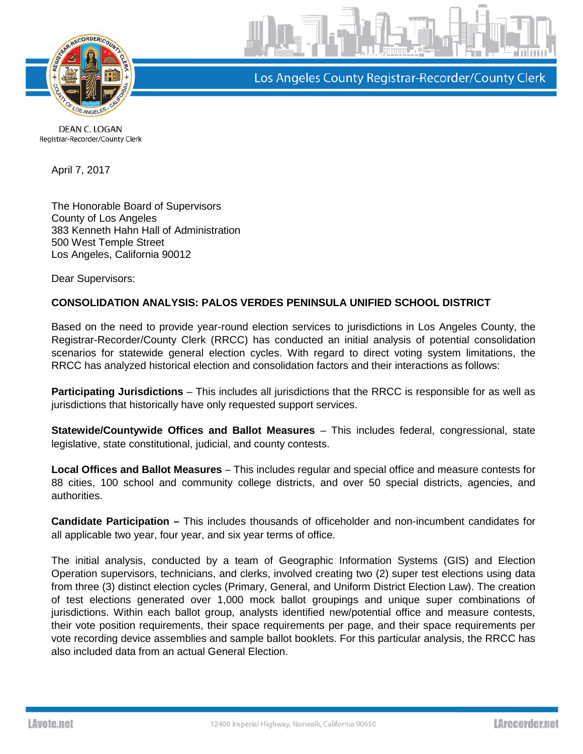

Los Angeles County Registrar-Recorder/County Clerk

DEAN C. LOGAN Registrar-Recorder/County Clerk

April 7, 2017

The Honorable Board of Supervisors County of Los Angeles 383 Kenneth Hahn Hall of Administration 500 West Temple Street Los Angeles, California 90012

Dear Supervisors:

## **CONSOLIDATION ANALYSIS: PALOS VERDES PENINSULA UNIFIED SCHOOL DISTRICT**

Based on the need to provide year-round election services to jurisdictions in Los Angeles County, the Registrar-Recorder/County Clerk (RRCC) has conducted an initial analysis of potential consolidation scenarios for statewide general election cycles. With regard to direct voting system limitations, the RRCC has analyzed historical election and consolidation factors and their interactions as follows:

**Participating Jurisdictions** – This includes all jurisdictions that the RRCC is responsible for as well as jurisdictions that historically have only requested support services.

**Statewide/Countywide Offices and Ballot Measures** – This includes federal, congressional, state legislative, state constitutional, judicial, and county contests.

**Local Offices and Ballot Measures** – This includes regular and special office and measure contests for 88 cities, 100 school and community college districts, and over 50 special districts, agencies, and authorities.

**Candidate Participation –** This includes thousands of officeholder and non-incumbent candidates for all applicable two year, four year, and six year terms of office.

The initial analysis, conducted by a team of Geographic Information Systems (GIS) and Election Operation supervisors, technicians, and clerks, involved creating two (2) super test elections using data from three (3) distinct election cycles (Primary, General, and Uniform District Election Law). The creation of test elections generated over 1,000 mock ballot groupings and unique super combinations of jurisdictions. Within each ballot group, analysts identified new/potential office and measure contests, their vote position requirements, their space requirements per page, and their space requirements per vote recording device assemblies and sample ballot booklets. For this particular analysis, the RRCC has also included data from an actual General Election.